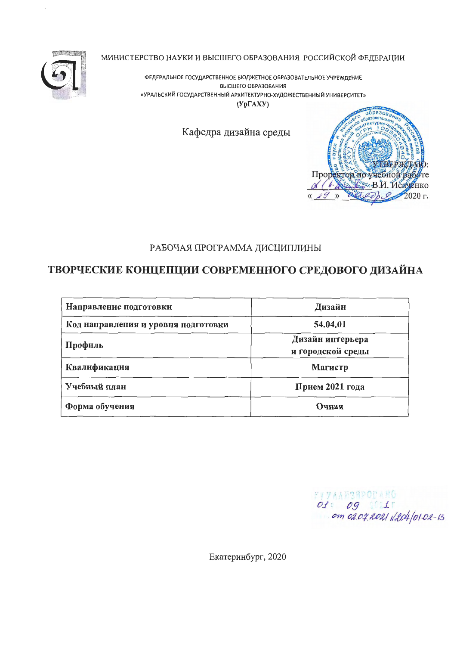

МИНИСТЕРСТВО НАУКИ И ВЫСШЕГО ОБРАЗОВАНИЯ РОССИЙСКОЙ ФЕДЕРАЦИИ

ФЕДЕРАЛЬНОЕ ГОСУДАРСТВЕННОЕ БЮДЖЕТНОЕ ОБРАЗОВАТЕЛЬНОЕ УЧРЕЖДЕНИЕ ВЫСШЕГО ОБРАЗОВАНИЯ «УРАЛЬСКИЙ ГОСУДАРСТВЕННЫЙ АРХИТЕКТУРНО-ХУДОЖЕСТВЕННЫЙ УНИВЕРСИТЕТ»  $(Yp\Gamma A XY)$ 

Кафедра дизайна среды



## РАБОЧАЯ ПРОГРАММА ДИСЦИПЛИНЫ

# ТВОРЧЕСКИЕ КОНЦЕПЦИИ СОВРЕМЕННОГО СРЕДОВОГО ДИЗАЙНА

| Направление подготовки              | Дизайн                                |  |  |
|-------------------------------------|---------------------------------------|--|--|
| Код направления и уровня подготовки | 54.04.01                              |  |  |
| Профиль                             | Дизайн интерьера<br>и городской среды |  |  |
| Квалификация                        | Магистр                               |  |  |
| Учебный план                        | Прием 2021 года                       |  |  |
| Форма обучения                      | Очная                                 |  |  |

FIVAANSNPODANG 01 09 1<br>cm 02.09.2021 N204/01-02-13

Екатеринбург, 2020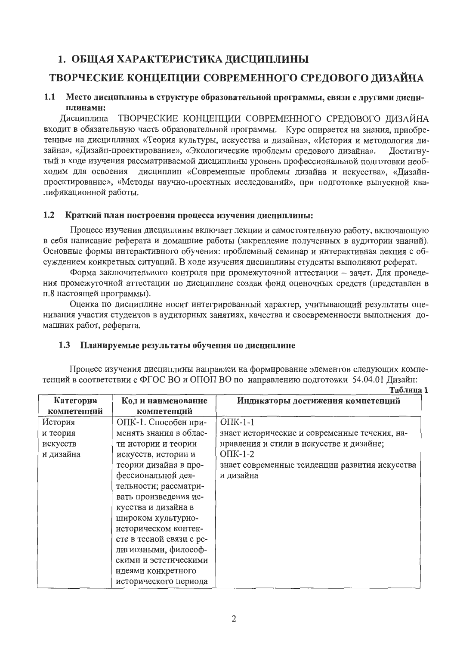# 1. ОБЩАЯ ХАРАКТЕРИСТИКА ДИСЦИПЛИНЫ

# ТВОРЧЕСКИЕ КОНЦЕПЦИИ СОВРЕМЕННОГО СРЕДОВОГО ДИЗАЙНА

#### $1.1$ Место дисциплины в структуре образовательной программы, связи с другими дисциплинами:

Дисциплина ТВОРЧЕСКИЕ КОНЦЕПЦИИ СОВРЕМЕННОГО СРЕДОВОГО ДИЗАЙНА входит в обязательную часть образовательной программы. Курс опирается на знания, приобретенные на дисциплинах «Теория культуры, искусства и дизайна», «История и методология дизайна», «Дизайн-проектирование», «Экологические проблемы средового дизайна». Достигнутый в ходе изучения рассматриваемой дисциплины уровень профессиональной подготовки необходим для освоения дисциплин «Современные проблемы дизайна и искусства», «Дизайнпроектирование», «Методы научно-проектных исследований», при подготовке выпускной квалификационной работы.

#### $1.2$ Краткий план построения процесса изучения дисциплины:

Процесс изучения дисциплины включает лекции и самостоятельную работу, включающую в себя написание реферата и домашние работы (закрепление полученных в аудитории знаний). Основные формы интерактивного обучения: проблемный семинар и интерактивная лекция с обсуждением конкретных ситуаций. В ходе изучения дисциплины студенты выполняют реферат.

Форма заключительного контроля при промежуточной аттестации - зачет. Для проведения промежуточной аттестации по дисциплине создан фонд оценочных средств (представлен в п.8 настоящей программы).

Оценка по дисциплине носит интегрированный характер, учитывающий результаты оценивания участия студентов в аудиторных занятиях, качества и своевременности выполнения домашних работ, реферата.

### 1.3 Планируемые результаты обучения по дисциплине

Процесс изучения дисциплины направлен на формирование элементов следующих компетенций в соответствии с ФГОС ВО и ОПОП ВО по направлению подготовки 54.04.01 Дизайн:

|             |                          | Таблица 1                                      |
|-------------|--------------------------|------------------------------------------------|
| Категория   | Код и наименование       | Индикаторы достижения компетенций              |
| компетенций | компетенций              |                                                |
| История     | ОПК-1. Способен при-     | $OIIK-1-1$                                     |
| и теория    | менять знания в облас-   | знает исторические и современные течения, на-  |
| искусств    | ти истории и теории      | правления и стили в искусстве и дизайне;       |
| и дизайна   | искусств, истории и      | $O$ $I$ $K$ -1-2                               |
|             | теории дизайна в про-    | знает современные тенденции развития искусства |
|             | фессиональной дея-       | и дизайна                                      |
|             | тельности; рассматри-    |                                                |
|             | вать произведения ис-    |                                                |
|             | кусства и дизайна в      |                                                |
|             | широком культурно-       |                                                |
|             | историческом контек-     |                                                |
|             | сте в тесной связи с ре- |                                                |
|             | лигиозными, философ-     |                                                |
|             | скими и эстетическими    |                                                |
|             | идеями конкретного       |                                                |
|             | исторического периода    |                                                |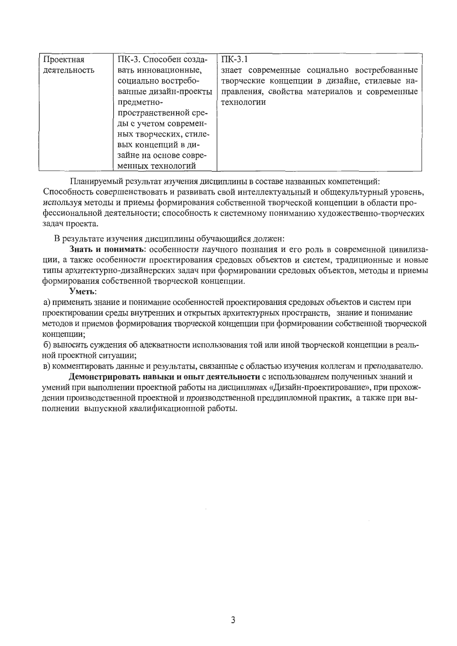| Проектная    | ПК-3. Способен созда-  | $\Pi$ K-3.1                                  |
|--------------|------------------------|----------------------------------------------|
| деятельность | вать инновационные,    | знает современные социально востребованные   |
|              | социально востребо-    | творческие концепции в дизайне, стилевые на- |
|              | ванные дизайн-проекты  | правления, свойства материалов и современные |
|              | предметно-             | технологии                                   |
|              | пространственной сре-  |                                              |
|              | ды с учетом современ-  |                                              |
|              | ных творческих, стиле- |                                              |
|              | вых концепций в ди-    |                                              |
|              | зайне на основе совре- |                                              |
|              | менных технологий      |                                              |

Планируемый результат изучения дисциплины в составе названных компетенций:

Способность совершенствовать и развивать свой интеллектуальный и общекультурный уровень, используя методы и приемы формирования собственной творческой концепции в области профессиональной деятельности; способность к системному пониманию художественно-творческих задач проекта.

В результате изучения дисциплины обучающийся должен:

Знать и понимать: особенности научного познания и его роль в современной цивилизации, а также особенности проектирования средовых объектов и систем, традиционные и новые типы архитектурно-дизайнерских задач при формировании средовых объектов, методы и приемы формирования собственной творческой концепции.

#### Уметь:

а) применять знание и понимание особенностей проектирования средовых объектов и систем при проектировании среды внутренних и открытых архитектурных пространств, знание и понимание методов и приемов формирования творческой концепции при формировании собственной творческой концепции;

б) выносить суждения об адекватности использования той или иной творческой концепции в реальной проектной ситуации;

в) комментировать данные и результаты, связанные с областью изучения коллегам и преподавателю.

Демонстрировать навыки и опыт деятельности с использованием полученных знаний и умений при выполнении проектной работы на дисциплинах «Дизайн-проектирование», при прохождении производственной проектной и производственной преддипломной практик, а также при выполнении выпускной квалификационной работы.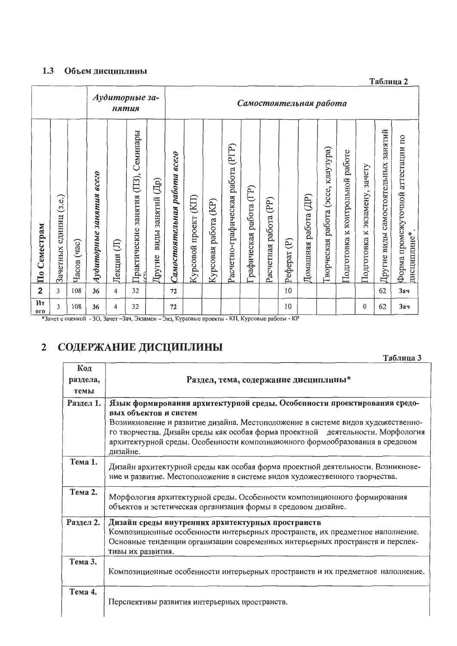#### 1.3 Объем дисциплины

Аудиторные за-Самостоятельная работа нятия Другие виды самостоятельных занятий Практические занятия (ПЗ), Семинары Форма промежуточной агтестации по Расчетно-графическая работа (PГP) Гворческая работа (эссе, клаузура) Тодготовка к контрольной работе Самостоятельная работа всего Подготовка к экзамену, зачету Аудиторные занятия всего Другие виды занятий (Др) рафическая работа (ГР) Зачетных единиц (з.е.) Домашняя работа (ДР) Курсовой проект (KII) Расчетная работа (PP) Курсовая работа (KP) По Семестрам дисциплине\* Pedepar<sub>(P)</sub> Часов (час) Лекции (Л)  $\overline{2}$ 62 108  $\overline{4}$ 10 **Зач**  $\overline{3}$ 36 32 72  $\overline{H}$  $\overline{3}$ 108  $\overline{4}$ 72 10  $\mathbf{0}$ 62 Зач 36 32  $0<sub>0</sub>$ 

\*Зачет с оценкой - 3О, Зачет - Зач, Экзамен - Экз, Курсовые проекты - КП, Курсовые работы - КР

#### СОДЕРЖАНИЕ ДИСЦИПЛИНЫ  $\overline{2}$

|                         | Таблица 3                                                                                                                                                                                                                                                                               |
|-------------------------|-----------------------------------------------------------------------------------------------------------------------------------------------------------------------------------------------------------------------------------------------------------------------------------------|
| Код<br>раздела,<br>темы | Раздел, тема, содержание дисциплины*                                                                                                                                                                                                                                                    |
| Раздел 1.               | Язык формирования архитектурной среды. Особенности проектирования средо-                                                                                                                                                                                                                |
|                         | вых объектов и систем<br>Возникновение и развитие дизайна. Местоположение в системе видов художественно-<br>го творчества. Дизайн среды как особая форма проектной деятельности. Морфология<br>архитектурной среды. Особенности композиционного формообразования в средовом<br>дизайне. |
| Тема 1.                 | Дизайн архитектурной среды как особая форма проектной деятельности. Возникнове-<br>ние и развитие. Местоположение в системе видов художественного творчества.                                                                                                                           |
| Тема 2.                 | Морфология архитектурной среды. Особенности композиционного формирования<br>объектов и эстетическая организация формы в средовом дизайне.                                                                                                                                               |
| Раздел 2.               | Дизайн среды внутренних архитектурных пространств<br>Композиционные особенности интерьерных пространств, их предметное наполнение.<br>Основные тенденции организации современных интерьерных пространств и перспек-<br>тивы их развития.                                                |
| Тема 3.                 | Композиционные особенности интерьерных пространств и их предметное наполнение.                                                                                                                                                                                                          |
| Тема 4.                 | Перспективы развития интерьерных пространств.                                                                                                                                                                                                                                           |

Таблица 2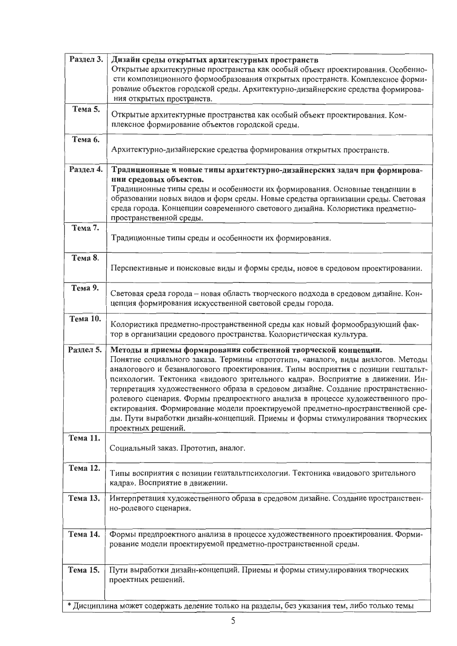| Раздел 3.            | Дизайн среды открытых архитектурных пространств<br>Открытые архитектурные пространства как особый объект проектирования. Особенно-<br>сти композиционного формообразования открытых пространств. Комплексное форми-<br>рование объектов городской среды. Архитектурно-дизайнерские средства формирова-<br>ния открытых пространств.                                                                                                                                                                                                                                                                                                                                                     |
|----------------------|-----------------------------------------------------------------------------------------------------------------------------------------------------------------------------------------------------------------------------------------------------------------------------------------------------------------------------------------------------------------------------------------------------------------------------------------------------------------------------------------------------------------------------------------------------------------------------------------------------------------------------------------------------------------------------------------|
| Тема 5.              | Открытые архитектурные пространства как особый объект проектирования. Ком-<br>плексное формирование объектов городской среды.                                                                                                                                                                                                                                                                                                                                                                                                                                                                                                                                                           |
| Тема 6.              | Архитектурно-дизайнерские средства формирования открытых пространств.                                                                                                                                                                                                                                                                                                                                                                                                                                                                                                                                                                                                                   |
| Раздел 4.<br>Тема 7. | Традиционные и новые типы архитектурно-дизайнерских задач при формирова-<br>нии средовых объектов.<br>Традиционные типы среды и особенности их формирования. Основные тенденции в<br>образовании новых видов и форм среды. Новые средства организации среды. Световая<br>среда города. Концепции современного светового дизайна. Колористика предметно-<br>пространственной среды.                                                                                                                                                                                                                                                                                                      |
|                      | Традиционные типы среды и особенности их формирования.                                                                                                                                                                                                                                                                                                                                                                                                                                                                                                                                                                                                                                  |
| Тема 8.              | Перспективные и поисковые виды и формы среды, новое в средовом проектировании.                                                                                                                                                                                                                                                                                                                                                                                                                                                                                                                                                                                                          |
| Тема 9.              | Световая среда города - новая область творческого подхода в средовом дизайне. Кон-<br>цепция формирования искусственной световой среды города.                                                                                                                                                                                                                                                                                                                                                                                                                                                                                                                                          |
| Тема 10.             | Колористика предметно-пространственной среды как новый формообразующий фак-<br>тор в организации средового пространства. Колористическая культура.                                                                                                                                                                                                                                                                                                                                                                                                                                                                                                                                      |
| Раздел 5.            | Методы и приемы формирования собственной творческой концепции.<br>Понятие социального заказа. Термины «прототип», «аналог», виды аналогов. Методы<br>аналогового и безаналогового проектирования. Типы восприятия с позиции гештальт-<br>психологии. Тектоника «видового зрительного кадра». Восприятие в движении. Ин-<br>терпретация художественного образа в средовом дизайне. Создание пространственно-<br>ролевого сценария. Формы предпроектного анализа в процессе художественного про-<br>ектирования. Формирование модели проектируемой предметно-пространственной сре-<br>ды. Пути выработки дизайн-концепций. Приемы и формы стимулирования творческих<br>проектных решений. |
| Тема 11.             | Социальный заказ. Прототип, аналог.                                                                                                                                                                                                                                                                                                                                                                                                                                                                                                                                                                                                                                                     |
| Тема 12.             | Типы восприятия с позиции гештальтпсихологии. Тектоника «видового зрительного<br>кадра». Восприятие в движении.                                                                                                                                                                                                                                                                                                                                                                                                                                                                                                                                                                         |
| Тема 13.             | Интерпретация художественного образа в средовом дизайне. Создание пространствен-<br>но-ролевого сценария.                                                                                                                                                                                                                                                                                                                                                                                                                                                                                                                                                                               |
| Тема 14.             | Формы предпроектного анализа в процессе художественного проектирования. Форми-<br>рование модели проектируемой предметно-пространственной среды.                                                                                                                                                                                                                                                                                                                                                                                                                                                                                                                                        |
| Тема 15.             | Пути выработки дизайн-концепций. Приемы и формы стимулирования творческих<br>проектных решений.                                                                                                                                                                                                                                                                                                                                                                                                                                                                                                                                                                                         |
|                      | * Дисциплина может содержать деление только на разделы, без указания тем, либо только темы                                                                                                                                                                                                                                                                                                                                                                                                                                                                                                                                                                                              |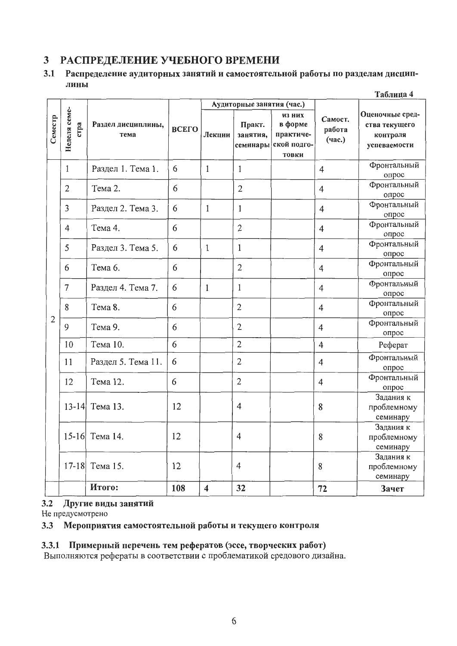#### РАСПРЕДЕЛЕНИЕ УЧЕБНОГО ВРЕМЕНИ  $3<sup>1</sup>$

#### $3.1$ Распределение аудиторных занятий и самостоятельной работы по разделам дисциплины  $T_{\alpha}$ guun  $\alpha$

|                |                      |                            |       | таолица 4               |                                                             |                                                        |                             |                                                              |
|----------------|----------------------|----------------------------|-------|-------------------------|-------------------------------------------------------------|--------------------------------------------------------|-----------------------------|--------------------------------------------------------------|
| Семестр        | Неделя семе-<br>crpa | Раздел дисциплины,<br>тема | ВСЕГО | Лекции                  | Аудиторные занятия (час.)<br>Практ.<br>занятия,<br>семинары | из них<br>в форме<br>практиче-<br>ской подго-<br>товки | Самост.<br>работа<br>(час.) | Оценочные сред-<br>ства текущего<br>контроля<br>успеваемости |
|                | 1                    | Раздел 1. Тема 1.          | 6     | 1                       | 1                                                           |                                                        | 4                           | Фронтальный<br>опрос                                         |
|                | $\overline{2}$       | Тема 2.                    | 6     |                         | $\mathbf{2}$                                                |                                                        | 4                           | Фронтальный<br>опрос                                         |
|                | 3                    | Раздел 2. Тема 3.          | 6     | 1                       | 1                                                           |                                                        | 4                           | Фронтальный<br>опрос                                         |
|                | $\overline{4}$       | Тема 4.                    | 6     |                         | $\overline{2}$                                              |                                                        | $\overline{4}$              | Фронтальный<br>опрос                                         |
|                | 5                    | Раздел 3. Тема 5.          | 6     | 1                       | 1                                                           |                                                        | 4                           | Фронтальный<br>опрос                                         |
|                | 6                    | Тема 6.                    | 6     |                         | $\overline{2}$                                              |                                                        | $\overline{4}$              | Фронтальный<br>опрос                                         |
|                | $\overline{7}$       | Раздел 4. Тема 7.          | 6     | $\mathbf{1}$            | 1                                                           |                                                        | $\overline{4}$              | Фронтальный<br>опрос                                         |
|                | 8                    | Тема 8.<br>6               |       |                         | $\mathbf{2}$                                                |                                                        | $\overline{4}$              | Фронтальный<br>опрос                                         |
| $\overline{2}$ | 9                    | Тема 9.                    | 6     |                         | $\overline{2}$                                              |                                                        | 4                           | Фронтальный<br>опрос                                         |
|                | 10                   | Тема 10.                   | 6     |                         | $\overline{2}$                                              |                                                        | $\overline{4}$              | Реферат                                                      |
|                | 11                   | Раздел 5. Тема 11.         | 6     |                         | $\mathbf{2}$                                                |                                                        | $\overline{4}$              | Фронтальный<br>опрос                                         |
|                | 12                   | Тема 12.                   | 6     |                         | $\overline{2}$                                              |                                                        | 4                           | Фронтальный<br>опрос                                         |
|                | $13 - 14$            | Тема 13.                   | 12    |                         | 4                                                           |                                                        | 8                           | Задания к<br>проблемному<br>семинару                         |
|                |                      | 15-16 Тема 14.             | 12    |                         | 4                                                           |                                                        | 8                           | Задания к<br>проблемному<br>семинару                         |
|                | $17 - 18$            | Тема 15.                   | 12    |                         | $\overline{4}$                                              |                                                        | 8                           | Задания к<br>проблемному<br>семинару                         |
|                |                      | <b>H</b> roro:             | 108   | $\overline{\mathbf{4}}$ | 32                                                          |                                                        | ${\bf 72}$                  | Зачет                                                        |

## 3.2 Другие виды занятий

Не предусмотрено

### 3.3 Мероприятия самостоятельной работы и текущего контроля

# 3.3.1 Примерный перечень тем рефератов (эссе, творческих работ)

Выполняются рефераты в соответствии с проблематикой средового дизайна.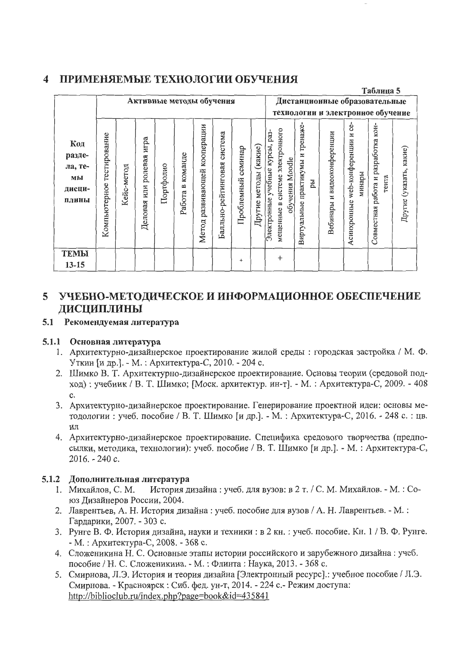# 4 ПРИМЕНЯЕМЫЕ ТЕХНОЛОГИИ ОБУЧЕНИЯ

|                                                   |                              |            |                                |                          |                     |                                    |                                |                       |                             |                                                                                                          |                                            |                                   |                                                     | Таблица 5                                       |                         |
|---------------------------------------------------|------------------------------|------------|--------------------------------|--------------------------|---------------------|------------------------------------|--------------------------------|-----------------------|-----------------------------|----------------------------------------------------------------------------------------------------------|--------------------------------------------|-----------------------------------|-----------------------------------------------------|-------------------------------------------------|-------------------------|
|                                                   |                              |            |                                | Активные методы обучения |                     |                                    |                                |                       |                             |                                                                                                          | Дистанционные образовательные              |                                   |                                                     |                                                 |                         |
|                                                   |                              |            |                                |                          |                     |                                    |                                |                       |                             |                                                                                                          | технологии и электронное обучение          |                                   |                                                     |                                                 |                         |
| Код<br>разде-<br>ла, те-<br>мы<br>дисци-<br>плины | тестирование<br>Компьютерное | Кейс-метод | игра<br>ролевая<br>Деловая или | Портфолио                | команде<br>Работа в | кооперации<br>развивающей<br>Метод | система<br>Балльно-рейтинговая | семинар<br>Проблемный | (какие)<br>методы<br>Другие | системе электронного<br>pa <sub>3</sub> -<br>Электронные учебные курсы,<br>обучения Moodle<br>мещенные в | тренаже-<br>Виртуальные практикумы и<br>ÞЫ | видеоконференции<br>Ħ<br>Вебинары | ģ.<br>N<br>web-конференции<br>минары<br>Асинхронные | работа и разработка кон-<br>тента<br>Совместная | Другие (указать, какие) |
| <b>TEMLI</b>                                      |                              |            |                                |                          |                     |                                    |                                |                       |                             | $^{+}$                                                                                                   |                                            |                                   |                                                     |                                                 |                         |
| $13 - 15$                                         |                              |            |                                |                          |                     |                                    |                                | $^{+}$                |                             |                                                                                                          |                                            |                                   |                                                     |                                                 |                         |

# 5 УЧЕБНО-МЕТОДИЧЕСКОЕ И ИНФОРМАЦИОННОЕ ОБЕСПЕЧЕНИЕ ДИСЦИПЛИНЫ

## 5.1 Рекомендуемая литература

## 5.1.1 Основная литература

- 1. Архитектурно-дизайнерское проектирование жилой среды: городская застройка / М. Ф. Уткин [и др.]. - М. : Архитектура-С, 2010. - 204 с.
- 2. Шимко В. Т. Архитектурно-дизайнерское проектирование. Основы теории (средовой подход): учебник / В. Т. Шимко; [Моск. архитектур. ин-т]. - М.: Архитектура-С, 2009. - 408  $\mathbf{c}$ .
- 3. Архитектурно-дизайнерское проектирование. Генерирование проектной идеи: основы методологии: учеб. пособие / В. Т. Шимко [и др.]. - М.: Архитектура-С, 2016. - 248 с.: цв.
- 4. Архитектурно-дизайнерское проектирование. Специфика средового творчества (предпосылки, методика, технологии): учеб. пособие / В. Т. Шимко [и др.]. - М. : Архитектура-С,  $2016. - 240c.$

## 5.1.2 Дополнительная литература

- История дизайна: учеб. для вузов: в 2 т. / С. М. Михайлов. М.: Со-1. Михайлов, С. М. юз Дизайнеров России, 2004.
- 2. Лаврентьев, А. Н. История дизайна: учеб. пособие для вузов / А. Н. Лаврентьев. М.: Гардарики, 2007. - 303 с.
- 3. Рунге В. Ф. История дизайна, науки и техники: в 2 кн.: учеб. пособие. Кн. 1 / В. Ф. Рунге. - М.: Архитектура-С, 2008. - 368 с.
- 4. Сложеникина Н. С. Основные этапы истории российского и зарубежного дизайна: учеб. пособие / Н. С. Сложеникина. - М. : Флинта : Наука, 2013. - 368 с.
- 5. Смирнова, Л.Э. История и теория дизайна [Электронный ресурс].: учебное пособие / Л.Э. Смирнова. - Красноярск: Сиб. фед. ун-т, 2014. - 224 с. - Режим доступа: http://biblioclub.ru/index.php?page=book&id=435841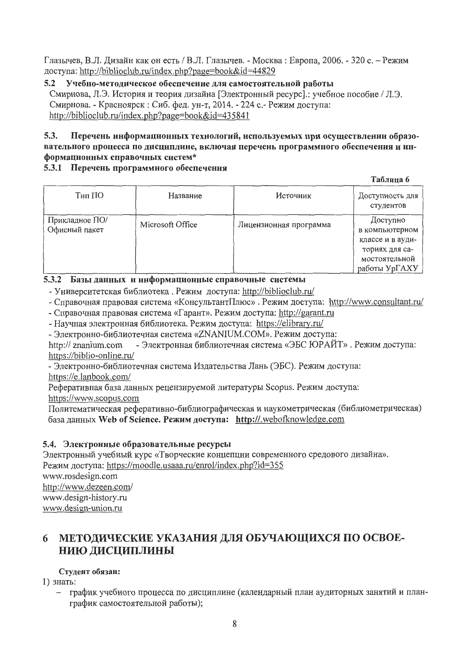Глазычев, В.Л. Дизайн как он есть / В.Л. Глазычев. - Москва: Европа, 2006. - 320 с. - Режим доступа: http://biblioclub.ru/index.php?page=book&id=44829

 $5.2$ Учебно-методическое обеспечение для самостоятельной работы Смирнова, Л.Э. История и теория дизайна [Электронный ресурс].: учебное пособие / Л.Э. Смирнова. - Красноярск: Сиб. фед. ун-т, 2014. - 224 с. - Режим доступа: http://biblioclub.ru/index.php?page=book&id=435841

#### 5.3. Перечень информационных технологий, используемых при осуществлении образовательного процесса по дисциплине, включая перечень программного обеспечения и информационных справочных систем\*

## 5.3.1 Перечень программного обеспечения

|                                 |                  |                        | Таблица 6                                                                                          |
|---------------------------------|------------------|------------------------|----------------------------------------------------------------------------------------------------|
| Тип ПО                          | Название         | Источник               | Доступность для<br>студентов                                                                       |
| Прикладное ПО/<br>Офисный пакет | Microsoft Office | Лицензионная программа | Доступно<br>в компьютерном<br>классе и в ауди-<br>ториях для са-<br>мостоятельной<br>работы УрГАХУ |

### 5.3.2 Базы данных и информационные справочные системы

- Университетская библиотека. Режим доступа: http://biblioclub.ru/

- Справочная правовая система «КонсультантПлюс». Режим доступа: http://www.consultant.ru/

- Справочная правовая система «Гарант». Режим доступа: http://garant.ru

- Научная электронная библиотека. Режим доступа: https://elibrary.ru/

- Электронно-библиотечная система «ZNANIUM.COM». Режим доступа:

- Электронная библиотечная система «ЭБС ЮРАЙТ». Режим доступа: http:// znanium.com https://biblio-online.ru/

- Электронно-библиотечная система Издательства Лань (ЭБС). Режим доступа:

https://e.lanbook.com/

Реферативная база данных рецензируемой литературы Scopus. Режим доступа: https://www.scopus.com

Политематическая реферативно-библиографическая и наукометрическая (библиометрическая) база данных Web of Science. Режим доступа: http://.webofknowledge.com

## 5.4. Электронные образовательные ресурсы

Электронный учебный курс «Творческие концепции современного средового дизайна». Режим доступа: https://moodle.usaaa.ru/enrol/index.php?id=355 www.rosdesign.com http://www.dezeen.com/ www.design-history.ru www.design-union.ru

#### МЕТОДИЧЕСКИЕ УКАЗАНИЯ ДЛЯ ОБУЧАЮЩИХСЯ ПО ОСВОЕ-6 НИЮ ДИСЦИПЛИНЫ

## Студент обязан:

1) знать:

график учебного процесса по дисциплине (календарный план аудиторных занятий и план- $\overline{\phantom{m}}$ график самостоятельной работы);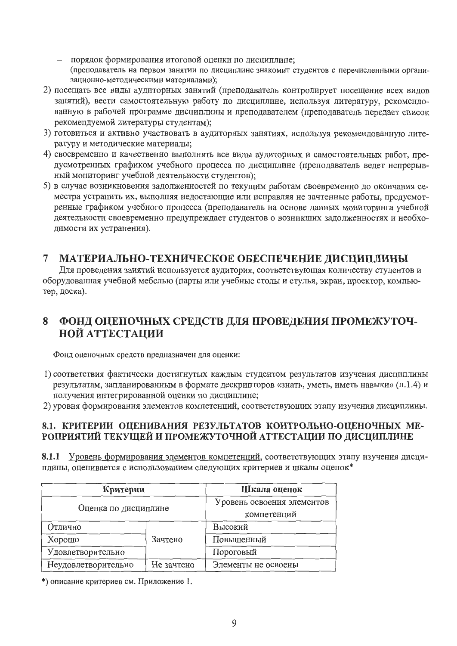- порядок формирования итоговой оценки по дисциплине; (преподаватель на первом занятии по дисциплине знакомит студентов с перечисленными организационно-методическими материалами);
- 2) посещать все виды аудиторных занятий (преподаватель контролирует посещение всех видов занятий), вести самостоятельную работу по дисциплине, используя литературу, рекомендованную в рабочей программе дисциплины и преподавателем (преподаватель передает список рекомендуемой литературы студентам);
- 3) готовиться и активно участвовать в аудиторных занятиях, используя рекомендованную литературу и методические материалы;
- 4) своевременно и качественно выполнять все виды аудиторных и самостоятельных работ, предусмотренных графиком учебного процесса по дисциплине (преподаватель ведет непрерывный мониторинг учебной деятельности студентов);
- 5) в случае возникновения задолженностей по текущим работам своевременно до окончания семестра устранить их, выполняя недостающие или исправляя не зачтенные работы, предусмотренные графиком учебного процесса (преподаватель на основе данных мониторинга учебной деятельности своевременно предупреждает студентов о возникших задолженностях и необходимости их устранения).

#### МАТЕРИАЛЬНО-ТЕХНИЧЕСКОЕ ОБЕСПЕЧЕНИЕ ДИСЦИПЛИНЫ  $\overline{7}$

Для проведения занятий используется аудитория, соответствующая количеству студентов и оборудованная учебной мебелью (парты или учебные столы и стулья, экран, проектор, компьютер, доска).

#### ФОНД ОЦЕНОЧНЫХ СРЕДСТВ ДЛЯ ПРОВЕДЕНИЯ ПРОМЕЖУТОЧ-8 **НОЙ АТТЕСТАЦИИ**

Фонд оценочных средств предназначен для оценки:

- 1) соответствия фактически достигнутых каждым студентом результатов изучения дисциплины результатам, запланированным в формате дескрипторов «знать, уметь, иметь навыки» (п.1.4) и получения интегрированной оценки по дисциплине;
- 2) уровня формирования элементов компетенций, соответствующих этапу изучения дисциплины.

### 8.1. КРИТЕРИИ ОЦЕНИВАНИЯ РЕЗУЛЬТАТОВ КОНТРОЛЬНО-ОЦЕНОЧНЫХ МЕ-РОПРИЯТИЙ ТЕКУЩЕЙ И ПРОМЕЖУТОЧНОЙ АТТЕСТАЦИИ ПО ДИСЦИПЛИНЕ

8.1.1 Уровень формирования элементов компетенций, соответствующих этапу изучения дисциплины, оценивается с использованием следующих критериев и шкалы оценок\*

| Критерии             | Шкала оценок               |                     |
|----------------------|----------------------------|---------------------|
| Оценка по дисциплине | Уровень освоения элементов |                     |
|                      | компетенций                |                     |
| Отлично              |                            | Высокий             |
| Хорошо               | Зачтено                    | Повышенный          |
| Удовлетворительно    |                            | Пороговый           |
| Неудовлетворительно  | Не зачтено                 | Элементы не освоены |

\*) описание критериев см. Приложение 1.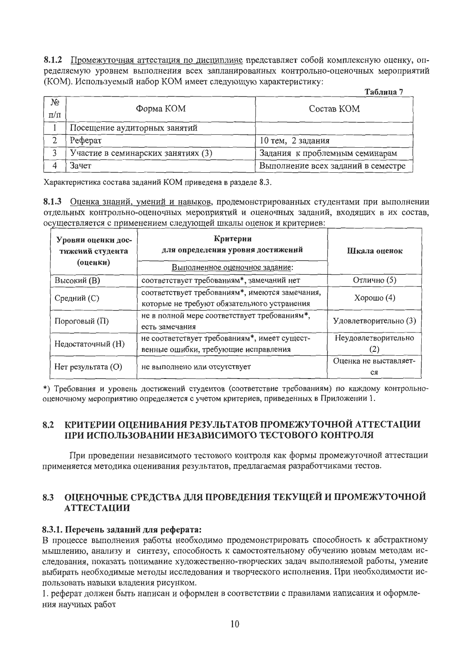8.1.2 Промежуточная аттестация по дисциплине представляет собой комплексную оценку, определяемую уровнем выполнения всех запланированных контрольно-оценочных мероприятий (КОМ). Используемый набор КОМ имеет следующую характеристику:

|                             |                                    | Таолица                            |
|-----------------------------|------------------------------------|------------------------------------|
| N <sub>2</sub><br>$\Pi/\Pi$ | Форма КОМ                          | Состав КОМ                         |
|                             | Посещение аудиторных занятий       |                                    |
|                             | Реферат                            | 10 тем, 2 задания                  |
|                             | Участие в семинарских занятиях (3) | Задания к проблемным семинарам     |
|                             | Зачет                              | Выполнение всех заданий в семестре |

Характеристика состава заданий КОМ приведена в разделе 8.3.

8.1.3 Оценка знаний, умений и навыков, продемонстрированных студентами при выполнении отдельных контрольно-оценочных мероприятий и оценочных заданий, входящих в их состав, осуществляется с применением следующей шкалы оценок и критериев:

| Уровни оценки дос-<br>тнжений студента<br>(оценки) | Критерии<br>для определения уровня достижений<br>Выполненное оценочное задание:               | Шкала оценок                |
|----------------------------------------------------|-----------------------------------------------------------------------------------------------|-----------------------------|
| <b>Высокий</b> (В)                                 | соответствует требованиям*, замечаний нет                                                     | Отлично (5)                 |
| Средний (С)                                        | соответствует требованиям*, имеются замечания,<br>которые не требуют обязательного устранения | Хорошо $(4)$                |
| Пороговый (П)                                      | не в полной мере соответствует требованиям*,<br>есть замечания                                | Удовлетворительно (3)       |
| Недостаточный (Н)                                  | не соответствует требованиям*, имеет сущест-<br>венные ошибки, требующие исправления          | Неудовлетворительно<br>(2)  |
| Нет результата (O)                                 | не выполнено или отсутствует                                                                  | Оценка не выставляет-<br>CЯ |

\*) Требования и уровень достижений студентов (соответствие требованиям) по каждому контрольнооценочному мероприятию определяется с учетом критериев, приведенных в Приложении 1.

#### КРИТЕРИИ ОЦЕНИВАНИЯ РЕЗУЛЬТАТОВ ПРОМЕЖУТОЧНОЙ АТТЕСТАЦИИ 8.2 ПРИ ИСПОЛЬЗОВАНИИ НЕЗАВИСИМОГО ТЕСТОВОГО КОНТРОЛЯ

При проведении независимого тестового контроля как формы промежуточной аттестации применяется методика оценивания результатов, предлагаемая разработчиками тестов.

#### ОЦЕНОЧНЫЕ СРЕДСТВА ДЛЯ ПРОВЕДЕНИЯ ТЕКУЩЕЙ И ПРОМЕЖУТОЧНОЙ 8.3 **АТТЕСТАЦИИ**

### 8.3.1. Перечень заданий для реферата:

В процессе выполнения работы необходимо продемонстрировать способность к абстрактному мышлению, анализу и синтезу, способность к самостоятельному обучению новым методам исследования, показать понимание художественно-творческих задач выполняемой работы, умение выбирать необходимые методы исследования и творческого исполнения. При необходимости использовать навыки владения рисунком.

1. реферат должен быть написан и оформлен в соответствии с правилами написания и оформления научных работ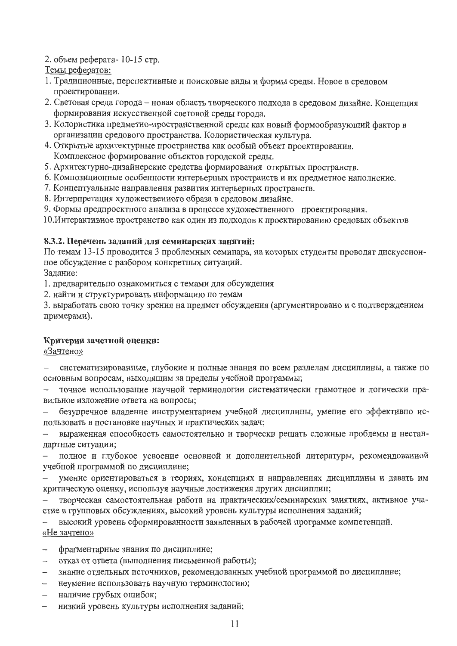### 2. объем реферата-10-15 стр.

Темы рефератов:

- 1. Традиционные, перспективные и поисковые виды и формы среды. Новое в средовом проектировании.
- 2. Световая среда города новая область творческого подхода в средовом дизайне. Концепция формирования искусственной световой среды города.
- 3. Колористика предметно-пространственной среды как новый формообразующий фактор в организации средового пространства. Колористическая культура.
- 4. Открытые архитектурные пространства как особый объект проектирования. Комплексное формирование объектов городской среды.
- 5. Архитектурно-дизайнерские средства формирования открытых пространств.
- 6. Композиционные особенности интерьерных пространств и их предметное наполнение.
- 7. Концептуальные направления развития интерьерных пространств.
- 8. Интерпретация художественного образа в средовом дизайне.
- 9. Формы предпроектного анализа в процессе художественного проектирования.

10. Интерактивное пространство как один из подходов к проектированию средовых объектов

#### 8.3.2. Перечень заданий для семинарских занятий:

По темам 13-15 проводится 3 проблемных семинара, на которых студенты проводят дискуссионное обсуждение с разбором конкретных ситуаций.

Задание:

1. предварительно ознакомиться с темами для обсуждения

2. найти и структурировать информацию по темам

3. выработать свою точку зрения на предмет обсуждения (аргументировано и с подтверждением примерами).

### Критерии зачетной оценки:

«Зачтено»

систематизированные, глубокие и полные знания по всем разделам дисциплины, а также по  $\equiv$ основным вопросам, выходящим за пределы учебной программы;

точное использование научной терминологии систематически грамотное и логически правильное изложение ответа на вопросы;

безупречное владение инструментарием учебной дисциплины, умение его эффективно использовать в постановке научных и практических задач;

выраженная способность самостоятельно и творчески решать сложные проблемы и нестандартные ситуации;

полное и глубокое усвоение основной и дополнительной литературы, рекомендованной учебной программой по дисциплине;

умение ориентироваться в теориях, концепциях и направлениях дисциплины и давать им критическую оценку, используя научные достижения других дисциплин;

творческая самостоятельная работа на практических/семинарских занятиях, активное участие в групповых обсуждениях, высокий уровень культуры исполнения заданий;

высокий уровень сформированности заявленных в рабочей программе компетенций. «Не зачтено»

- фрагментарные знания по дисциплине;  $\sim$   $-$
- отказ от ответа (выполнения письменной работы);
- знание отдельных источников, рекомендованных учебной программой по дисциплине;  $\overline{\phantom{0}}$
- неумение использовать научную терминологию;
- наличие грубых ошибок;
- низкий уровень культуры исполнения заданий;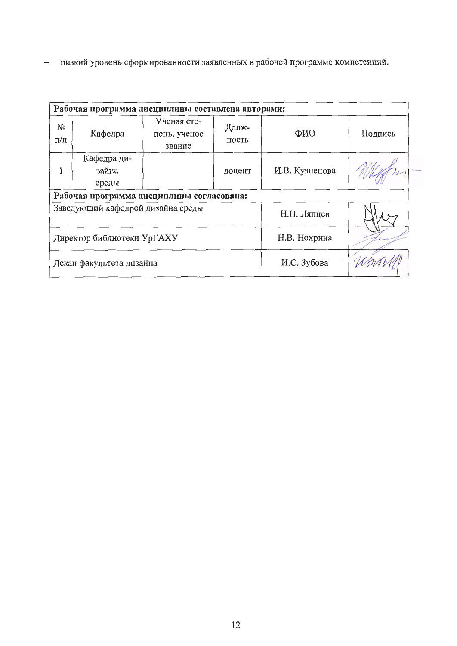- низкий уровень сформированности заявленных в рабочей программе компетенций.

| Рабочая программа дисциплины составлена авторами: |                                   |                                           |                |         |  |  |  |
|---------------------------------------------------|-----------------------------------|-------------------------------------------|----------------|---------|--|--|--|
| NΩ<br>$\Pi/\Pi$                                   | Кафедра                           | Ученая сте-<br>пень, ученое<br>звание     | ФИО            | Подпись |  |  |  |
|                                                   | Кафедра ди-<br>зайна<br>среды     |                                           | И.В. Кузнецова |         |  |  |  |
|                                                   |                                   | Рабочая программа дисциплины согласована: |                |         |  |  |  |
|                                                   | Заведующий кафедрой дизайна среды |                                           | Н.Н. Ляпцев    |         |  |  |  |
|                                                   | Директор библиотеки УрГАХУ        |                                           | Н.В. Нохрина   |         |  |  |  |
|                                                   | Декан факультета дизайна          |                                           | И.С. Зубова    |         |  |  |  |